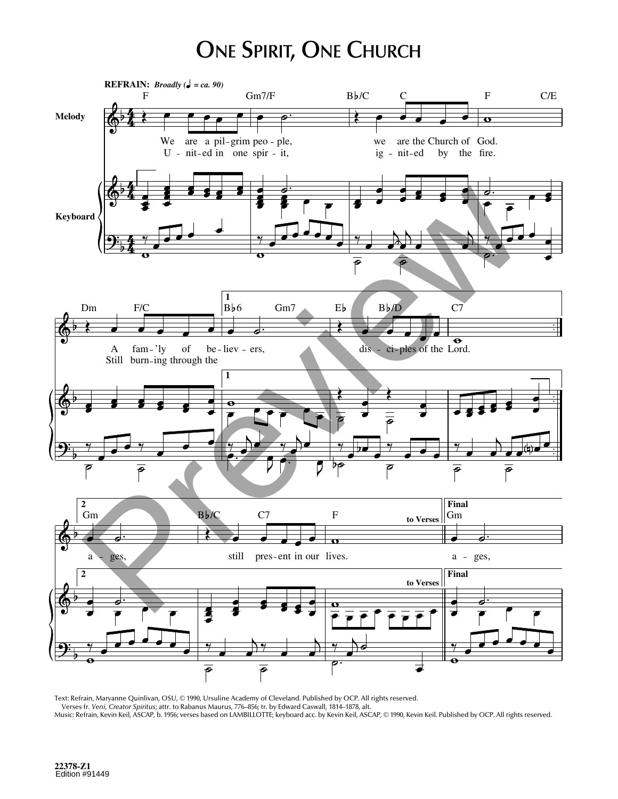## **ONE SPIRIT, ONE CHURCH**



Text: Refrain, Maryanne Quinlivan, OSU, © 1990, Ursuline Academy of Cleveland. Published by OCP. All rights reserved. Verses fr. Veni, Creator Spiritus; attr. to Rabanus Maurus, 776–856; tr. by Edward Caswall, 1814–1878, alt. Music: Refrain, Kevin Keil, ASCAP, b. 1956; verses based on LAMBILLOTTE; keyboard acc. by Kevin Keil, ASCAP, @ 1990, Kevin Keil. Published by OCP. All rights reserved.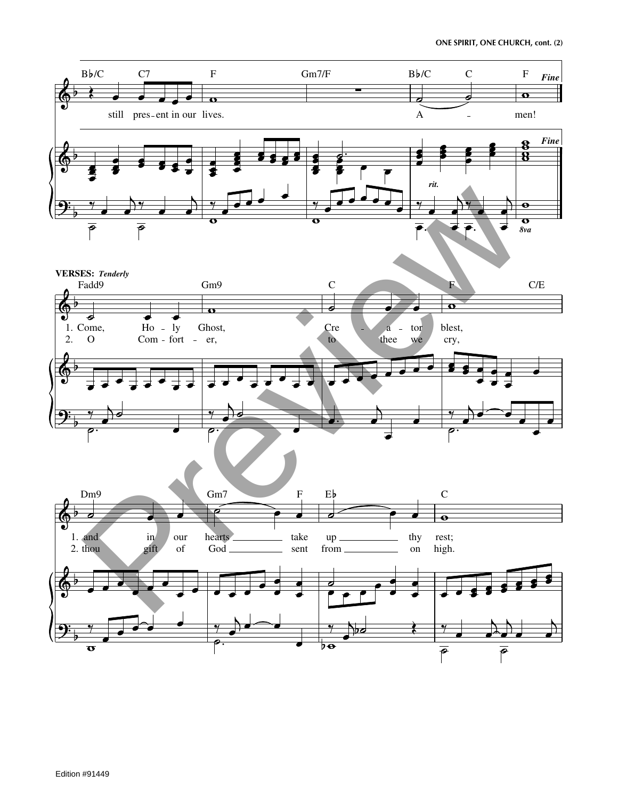